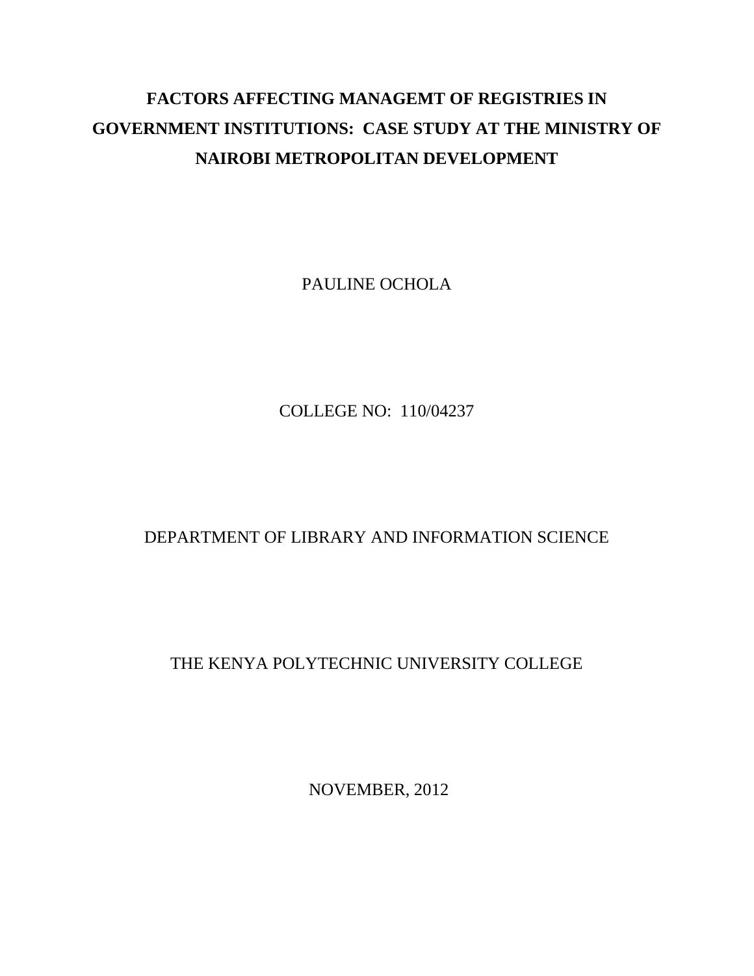## **FACTORS AFFECTING MANAGEMT OF REGISTRIES IN GOVERNMENT INSTITUTIONS: CASE STUDY AT THE MINISTRY OF NAIROBI METROPOLITAN DEVELOPMENT**

PAULINE OCHOLA

COLLEGE NO: 110/04237

## DEPARTMENT OF LIBRARY AND INFORMATION SCIENCE

## THE KENYA POLYTECHNIC UNIVERSITY COLLEGE

NOVEMBER, 2012